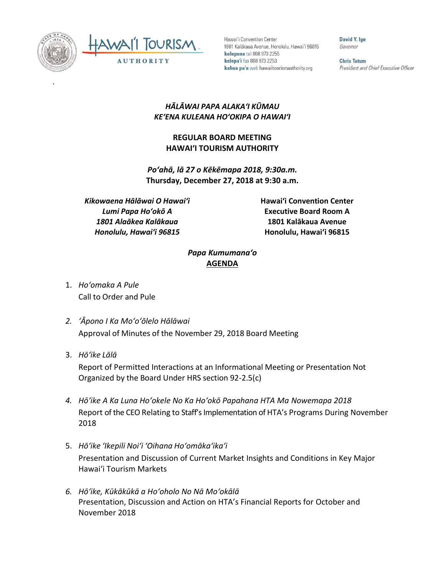

`



Hawai'i Convention Center 1801 Kalākaua Avenue, Honolulu, Hawai'i 96815 kelepona tel 808 973 2255 kelepa'i fax 808 973 2253 kahua pa'a web hawaiitourismauthority.org

David Y. Ige Governor

**Chris Tatum** President and Chief Executive Officer

## *HĀLĀWAI PAPA ALAKAʻI KŪMAU KEʻENA KULEANA HOʻOKIPA O HAWAIʻI*

## **REGULAR BOARD MEETING HAWAI'I TOURISM AUTHORITY**

*Po'ahā, lā 27 o Kēkēmapa 2018, 9:30a.m.*  **Thursday, December 27, 2018 at 9:30 a.m.**

*Kikowaena Hālāwai O Hawaiʻi Lumi Papa Hoʻokō A 1801 Alaākea Kalākaua Honolulu, Hawaiʻi 96815*

**Hawai'i Convention Center Executive Board Room A 1801 Kalākaua Avenue Honolulu, Hawai'i 96815**

## *Papa Kumumanaʻo* **AGENDA**

- 1. *Ho'omaka A Pule* Call to Order and Pule
- *2. ʻĀpono I Ka Moʻoʻōlelo Hālāwai* Approval of Minutes of the November 29, 2018 Board Meeting
- 3. *Hō'ike Lālā*

Report of Permitted Interactions at an Informational Meeting or Presentation Not Organized by the Board Under HRS section 92-2.5(c)

- *4. Hōʻike A Ka Luna Hoʻokele No Ka Hoʻokō Papahana HTA Ma Nowemapa 2018* Report of the CEO Relating to Staff's Implementation of HTA's Programs During November 2018
- 5. *Hō'ike 'Ikepili Noi'i 'Oihana Ho'omāka'ika'i* Presentation and Discussion of Current Market Insights and Conditions in Key Major Hawai'i Tourism Markets
- *6. Hōʻike, Kūkākūkā a Hoʻoholo No Nā Moʻokālā* Presentation, Discussion and Action on HTA's Financial Reports for October and November 2018